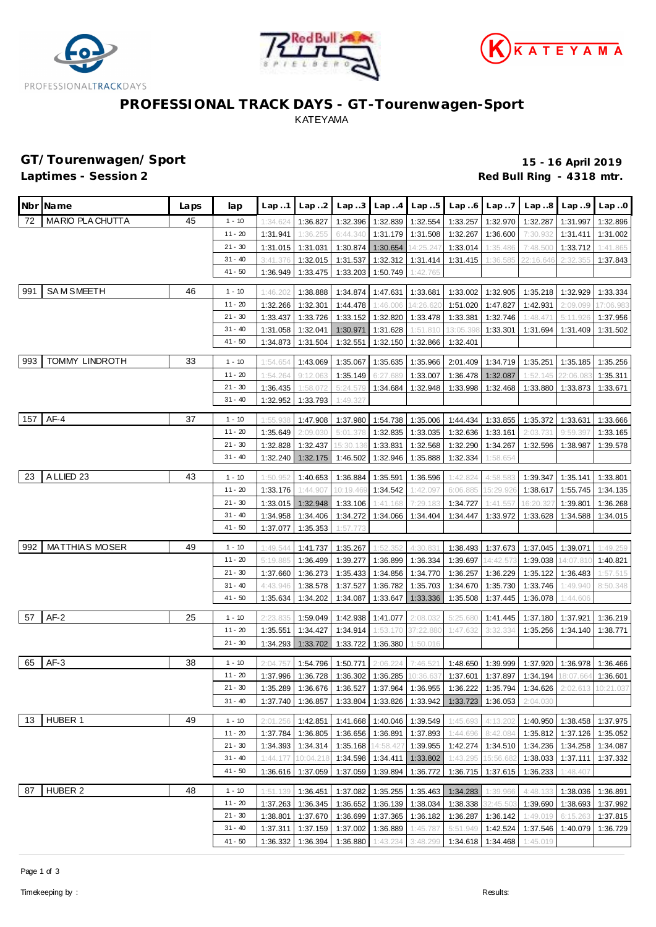





# **PROFESSIONAL TRACK DAYS - GT-Tourenwagen-Sport** KATEYAMA

**GT/Tourenwagen/Sport 15 - 16 April 2019** Red Bull Ring - 4318 mtr.

|     | Nbr Name                | Laps | lap                  | Lap.1                | Lap.2                | Lap.3             |                            | $Lap. .4$ $Lap. .5$  | Lap.6                                                | Lap.7             | Lap.8                                                                                      | Lap.9                      | Lap.0                |
|-----|-------------------------|------|----------------------|----------------------|----------------------|-------------------|----------------------------|----------------------|------------------------------------------------------|-------------------|--------------------------------------------------------------------------------------------|----------------------------|----------------------|
| 72  | <b>MARIO PLA CHUTTA</b> | 45   | $1 - 10$             | 1:34.624             | 1:36.827             | 1:32.396          | 1:32.839                   | 1:32.554             | 1:33.257                                             | 1:32.970          | 1:32.287                                                                                   | 1:31.997                   | 1:32.896             |
|     |                         |      | $11 - 20$            | 1:31.941             | 1:36.255             | 6:44.340          | 1:31.179                   | 1:31.508             | 1:32.267                                             | 1:36.600          | 7:30.932                                                                                   | 1:31.411                   | 1:31.002             |
|     |                         |      | $21 - 30$            | 1:31.015             | 1:31.031             | 1:30.874          | 1:30.654                   | 14:25.247            | 1:33.014                                             | 1:35.486          | 7:48.500                                                                                   | 1:33.712                   | 1:41.865             |
|     |                         |      | $31 - 40$            | 3:41.376             | 1:32.015             | 1:31.537          | 1:32.312                   | 1:31.414             | 1:31.415                                             | 1:36.585          | 22:16.646                                                                                  | 2:32.35                    | 1:37.843             |
|     |                         |      | $41 - 50$            | 1:36.949             | 1:33.475             | 1:33.203          | 1:50.749                   | 1:42.765             |                                                      |                   |                                                                                            |                            |                      |
| 991 | <b>SAM SMEETH</b>       | 46   | $1 - 10$             | 1:46.202             | 1:38.888             | 1:34.874          | 1:47.631                   | 1:33.681             |                                                      | 1:33.002 1:32.905 | 1:35.218                                                                                   | 1:32.929                   | 1:33.334             |
|     |                         |      | $11 - 20$            | 1:32.266             | 1:32.301             | 1:44.478          | 1:46.006                   | 14:26.620            | 1:51.020                                             | 1:47.827          | 1:42.931                                                                                   | 2:09.099                   | 17:06.983            |
|     |                         |      | $21 - 30$            | 1:33.437             | 1:33.726             | 1:33.152          | 1:32.820                   | 1:33.478             | 1:33.381                                             | 1:32.746          | 1:48.471                                                                                   | 5:11.926                   | 1:37.956             |
|     |                         |      | $31 - 40$            | 1:31.058             | 1:32.041             | 1:30.971          | 1:31.628                   | 1:51.810             | 13:05.398                                            | 1:33.301          | 1:31.694                                                                                   | 1:31.409                   | 1:31.502             |
|     |                         |      | $41 - 50$            | 1:34.873             | 1:31.504             | 1:32.551          | 1:32.150                   | 1:32.866             | 1:32.401                                             |                   |                                                                                            |                            |                      |
| 993 | <b>TOMMY LINDROTH</b>   | 33   | $1 - 10$             | 1:54.654             | 1:43.069             | 1:35.067          | 1:35.635                   | 1:35.966             | 2:01.409                                             | 1:34.719          | 1:35.251                                                                                   | 1:35.185                   | 1:35.256             |
|     |                         |      | $11 - 20$            | 1:54.264             | 9:12.063             | 1:35.149          | 6:27.689                   | 1:33.007             | 1:36.478                                             | 1:32.087          | 1:52.145                                                                                   | 22:06.08                   | 1:35.311             |
|     |                         |      | $21 - 30$            | 1:36.435             | 1:58.072             | 5:24.579          | 1:34.684                   | 1:32.948             | 1:33.998                                             | 1:32.468          | 1:33.880                                                                                   | 1:33.873                   | 1:33.671             |
|     |                         |      | $31 - 40$            | 1:32.952             | 1:33.793             | 1:49.32           |                            |                      |                                                      |                   |                                                                                            |                            |                      |
| 157 | AF-4                    | 37   | $1 - 10$             | 1:55.938             | 1:47.908             | 1:37.980          | 1:54.738                   | 1:35.006             | 1:44.434                                             | 1:33.855          | 1:35.372                                                                                   | 1:33.631                   | 1:33.666             |
|     |                         |      | $11 - 20$            | 1:35.649             | 2:09.030             | 5:01.378          | 1:32.835                   | 1:33.035             | 1:32.636                                             | 1:33.161          | 2:03.731                                                                                   | 9:59.397                   | 1:33.165             |
|     |                         |      | $21 - 30$            | 1:32.828             | 1:32.437             | 15:30.136         | 1:33.831                   | 1:32.568             | 1:32.290                                             | 1:34.267          | 1:32.596                                                                                   | 1:38.987                   | 1:39.578             |
|     |                         |      | $31 - 40$            | 1:32.240             | 1:32.175             | 1:46.502          | 1:32.946                   | 1:35.888             | 1:32.334                                             | 1:58.654          |                                                                                            |                            |                      |
|     |                         |      |                      |                      |                      |                   |                            |                      |                                                      |                   |                                                                                            |                            |                      |
| 23  | A LLIED 23              | 43   | $1 - 10$             | 1:50.952             | 1:40.653             | 1:36.884          | 1:35.591                   | 1:36.596             | 1:42.824                                             | 4:58.58           | 1:39.347                                                                                   | 1:35.141                   | 1:33.801             |
|     |                         |      | $11 - 20$            | 1:33.176             | 1:44.907             | 10:19.469         | 1:34.542                   | 1:42.097             | 6:06.885                                             | 15:29.926         | 1:38.617                                                                                   | 1:55.745                   | 1:34.135             |
|     |                         |      | $21 - 30$            | 1:33.015             | 1:32.948             | 1:33.106          | 1:41.168                   | 7:29.183             | 1:34.727                                             | 1:41.557          | 16:20.327                                                                                  | 1:39.801                   | 1:36.268             |
|     |                         |      | $31 - 40$            | 1:34.958             | 1:34.406             | 1:34.272          | 1:34.066                   | 1:34.404             | 1:34.447                                             | 1:33.972          | 1:33.628                                                                                   | 1:34.588                   | 1:34.015             |
|     |                         |      | $41 - 50$            | 1:37.077             | 1:35.353             | 1:57.773          |                            |                      |                                                      |                   |                                                                                            |                            |                      |
| 992 | <b>MATTHIAS MOSER</b>   | 49   | $1 - 10$             | 1:49.544             | 1:41.737             | 1:35.267          | 1:52.352                   | 4:30.831             | 1:38.493                                             | 1:37.673          | 1:37.045                                                                                   | 1:39.071                   | 1:49.259             |
|     |                         |      | $11 - 20$            | 5:19.885             | 1:36.499             | 1:39.277          | 1:36.899                   | 1:36.334             | 1:39.697                                             | 14:42.573         | 1:39.038                                                                                   | 14:07.810                  | 1:40.821             |
|     |                         |      | $21 - 30$            | 1:37.660             | 1:36.273             | 1:35.433          | 1:34.856                   | 1:34.770             | 1:36.257                                             | 1:36.229          | 1:35.122                                                                                   | 1:36.483                   | 1:57.515             |
|     |                         |      | $31 - 40$            | 4:43.946             | 1:38.578             | 1:37.527          | 1:36.782                   | 1:35.703             | 1:34.670                                             | 1:35.730          | 1:33.746                                                                                   | 1:49.940                   | 8:50.348             |
|     |                         |      | $41 - 50$            | 1:35.634             | 1:34.202             | 1:34.087          | 1:33.647                   | 1:33.336             | 1:35.508                                             | 1:37.445          | 1:36.078                                                                                   | 1:44.606                   |                      |
| 57  | $AF-2$                  | 25   | $1 - 10$             | 2:23.835             | 1:59.049             | 1:42.938          | 1:41.077                   | 2:08.032             | 5:25.680                                             | 1:41.445          | 1:37.180                                                                                   | 1:37.921                   | 1:36.219             |
|     |                         |      | $11 - 20$            | 1:35.551             | 1:34.427             | 1:34.914          | 1:53.170                   | 37:22.880            | 1:47.632                                             | 3:32.334          | 1:35.256                                                                                   | 1:34.140                   | 1:38.771             |
|     |                         |      | $21 - 30$            | 1:34.293             | 1:33.702             | 1:33.722          | 1:36.380                   | 1:50.016             |                                                      |                   |                                                                                            |                            |                      |
| 65  | $AF-3$                  | 38   | $1 - 10$             | 2:04.757             | 1:54.796             | 1:50.771          | 2:06.224                   | 7:46.521             | 1:48.650                                             | 1:39.999          | 1:37.920                                                                                   | 1:36.978                   | 1:36.466             |
|     |                         |      | $11 - 20$            | 1:37.996             | 1:36.728             | 1:36.302 1:36.285 |                            | 10:36.637            |                                                      | 1:37.601 1:37.897 |                                                                                            | 1:34.194 18:07.664         | 1:36.601             |
|     |                         |      | $21 - 30$            |                      |                      |                   |                            |                      |                                                      |                   | 1:35.289 1:36.676 1:36.527 1:37.964 1:36.955 1:36.222 1:35.794 1:34.626 2:02.613 10:21.037 |                            |                      |
|     |                         |      | $31 - 40$            |                      | 1:37.740 1:36.857    |                   |                            |                      | 1:33.804   1:33.826   1:33.942   1:33.723   1:36.053 |                   | 2:04.030                                                                                   |                            |                      |
| 13  | HUBER 1                 | 49   | $1 - 10$             |                      | 1:42.851             |                   | 1:41.668 1:40.046 1:39.549 |                      | 1:45.693                                             | 4:13.202          |                                                                                            | 1:40.950 1:38.458 1:37.975 |                      |
|     |                         |      | $11 - 20$            | 2:01.256<br>1:37.784 | 1:36.805             | 1:36.656          | 1:36.891                   | 1:37.893             | 1:44.696                                             | 8:42.084          | 1:35.812                                                                                   | 1:37.126                   | 1:35.052             |
|     |                         |      | $21 - 30$            | 1:34.393             | 1:34.314             | 1:35.168          | 14:58.427                  | 1:39.955             | 1:42.274                                             | 1:34.510          | 1:34.236                                                                                   | 1:34.258                   | 1:34.087             |
|     |                         |      | $31 - 40$            | 1:44.177             | 10:04.218            |                   | 1:34.598 1:34.411          | 1:33.802             | 1:43.295                                             | 15:56.682         | 1:38.033                                                                                   | 1:37.111                   | 1:37.332             |
|     |                         |      | $41 - 50$            | 1:36.616             | 1:37.059             | 1:37.059          | 1:39.894                   | 1:36.772             | 1:36.715                                             | 1:37.615          | 1:36.233                                                                                   | 1:48.407                   |                      |
|     |                         |      |                      |                      |                      |                   |                            |                      |                                                      |                   |                                                                                            |                            |                      |
| 87  | HUBER 2                 | 48   | $1 - 10$             | 1:51.139             | 1:36.451             | 1:37.082          | 1:35.255                   | 1:35.463             | 1:34.283                                             | 1:39.966          | 4:48.133                                                                                   | 1:38.036                   | 1:36.891             |
|     |                         |      | 11 - 20<br>$21 - 30$ |                      | 1:37.263 1:36.345    | 1:36.652          | 1:36.139                   | 1:38.034             | 1:38.338                                             | 32:45.503         | 1:39.690                                                                                   | 1:38.693                   | 1:37.992             |
|     |                         |      | $31 - 40$            | 1:38.801<br>1:37.311 | 1:37.670<br>1:37.159 | 1:36.699          | 1:37.365<br>1:36.889       | 1:36.182             | 1:36.287                                             | 1:36.142          | 1:49.019<br>1:37.546                                                                       | 6:15.263<br>1:40.079       | 1:37.815<br>1:36.729 |
|     |                         |      | $41 - 50$            |                      |                      | 1:37.002          | 1:43.234                   | 1:45.787<br>3:48.299 | 5:51.949                                             | 1:42.524          | 1:45.019                                                                                   |                            |                      |
|     |                         |      |                      | 1:36.332             | 1:36.394             | 1:36.880          |                            |                      | 1:34.618                                             | 1:34.468          |                                                                                            |                            |                      |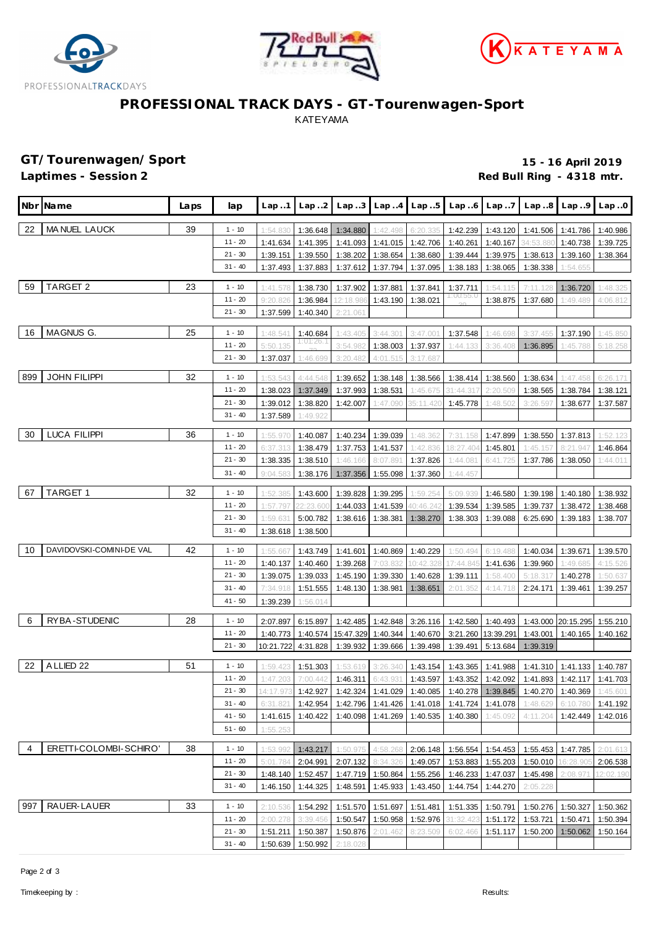





# **PROFESSIONAL TRACK DAYS - GT-Tourenwagen-Sport** KATEYAMA

**GT/Tourenwagen/Sport 15 - 16 April 2019** Red Bull Ring - 4318 mtr.

|                | Nbr Name                 | Laps | lap                    | Lap.1     | Lap.2                 |                                                                                                            | $Lap3$ $Lap4$ $Lap5$ |          | Lap.6                                | Lap.7             | Lap.8                                                | Lap.9              | Lap.0     |
|----------------|--------------------------|------|------------------------|-----------|-----------------------|------------------------------------------------------------------------------------------------------------|----------------------|----------|--------------------------------------|-------------------|------------------------------------------------------|--------------------|-----------|
| 22             | MA NUEL LAUCK            | 39   | $1 - 10$               | 1:54.830  | 1:36.648              | 1:34.880                                                                                                   | 1:42.498             | 6:20.335 | 1:42.239                             | 1:43.120          | 1:41.506                                             | 1:41.786           | 1:40.986  |
|                |                          |      | $11 - 20$              | 1:41.634  | 1:41.395              | 1:41.093                                                                                                   | 1:41.015             | 1:42.706 | 1:40.261                             | 1:40.167          | 34:53.880                                            | 1:40.738           | 1:39.725  |
|                |                          |      | $21 - 30$              | 1:39.151  | 1:39.550              | 1:38.202                                                                                                   | 1:38.654             | 1:38.680 | 1:39.444                             | 1:39.975          | 1:38.613                                             | 1:39.160           | 1:38.364  |
|                |                          |      | $31 - 40$              | 1:37.493  | 1:37.883              | 1:37.612                                                                                                   | 1:37.794             | 1:37.095 | 1:38.183                             | 1:38.065          | 1:38.338                                             | 1:54.655           |           |
| 59             | TARGET 2                 | 23   | $1 - 10$               | 1:41.578  | 1:38.730              |                                                                                                            | 1:37.881             | 1:37.841 |                                      | 1:54.115          | 7:11.128                                             | 1:36.720           | 1:48.325  |
|                |                          |      | $11 - 20$              | 9:20.826  | 1:36.984              | 1:37.902<br>12:18.98(                                                                                      | 1:43.190             | 1:38.021 | 1:37.711<br>I:00:55.                 | 1:38.875          | 1:37.680                                             | 1:49.489           | 4:06.812  |
|                |                          |      | $21 - 30$              | 1:37.599  | 1:40.340              | 2:21.06                                                                                                    |                      |          |                                      |                   |                                                      |                    |           |
|                |                          |      |                        |           |                       |                                                                                                            |                      |          |                                      |                   |                                                      |                    |           |
| 16             | MAGNUS G.                | 25   | $1 - 10$               | 1:48.541  | 1:40.684<br>1:01:26.7 | 1:43.405                                                                                                   | 3:44.301             | 3:47.00' | 1:37.548                             | 1:46.698          | 3:37.455                                             | 1:37.190           | 1:45.850  |
|                |                          |      | $11 - 20$<br>$21 - 30$ | 5:50.135  |                       | 3:54.982                                                                                                   | 1:38.003             | 1:37.937 | 1:44.133                             | 3:36.408          | 1:36.895                                             | 1:45.788           | 5:18.258  |
|                |                          |      |                        | 1:37.037  | 1:46.699              | 3:20.482                                                                                                   | 4:01.515             | 3:17.687 |                                      |                   |                                                      |                    |           |
| 899            | <b>JOHN FILIPPI</b>      | 32   | $1 - 10$               | 1:53.543  | 4:44.548              | 1:39.652                                                                                                   | 1:38.148             | 1:38.566 | 1:38.414                             | 1:38.560          | 1:38.634                                             | 1:47.458           | 6:26.171  |
|                |                          |      | $11 - 20$              | 1:38.023  | 1:37.349              | 1:37.993                                                                                                   | 1:38.531             | 1:45.675 | 31:44.317                            | 2:20.509          | 1:38.565                                             | 1:38.784           | 1:38.121  |
|                |                          |      | $21 - 30$              | 1:39.012  | 1:38.820              | 1:42.007                                                                                                   | 1:47.090             | 35:11.42 | 1:45.778                             | 1:48.502          | 3:26.597                                             | 1:38.677           | 1:37.587  |
|                |                          |      | $31 - 40$              | 1:37.589  | 1:49.922              |                                                                                                            |                      |          |                                      |                   |                                                      |                    |           |
| 30             | <b>LUCA FILIPPI</b>      | 36   | $1 - 10$               | 1:55.970  | 1:40.087              | 1:40.234                                                                                                   | 1:39.039             | 1:48.362 | 7:31.158                             | 1:47.899          | 1:38.550                                             | 1:37.813           | 1:52.123  |
|                |                          |      | $11 - 20$              | 6:37.313  | 1:38.479              | 1:37.753                                                                                                   | 1:41.537             | 1:42.836 | 18:27.404                            | 1:45.801          | 1:45.157                                             | 8:21.947           | 1:46.864  |
|                |                          |      | $21 - 30$              | 1:38.335  | 1:38.510              | 1:46.166                                                                                                   | 8:07.891             | 1:37.826 | 1:44.08'                             | 6:41.725          | 1:37.786                                             | 1:38.050           | 1:44.011  |
|                |                          |      | $31 - 40$              | 9:04.583  | 1:38.176              | 1:37.356                                                                                                   | 1:55.098             | 1:37.360 | 1:44.457                             |                   |                                                      |                    |           |
| 67             | TARGET 1                 | 32   | $1 - 10$               | 1:52.385  | 1:43.600              | 1:39.828                                                                                                   | 1:39.295             | 1:59.254 | 5:09.939                             | 1:46.580          | 1:39.198                                             | 1:40.180           | 1:38.932  |
|                |                          |      | $11 - 20$              | 1:57.797  | 22:23.60              | 1:44.033                                                                                                   | 1:41.539             | 40:46.24 | 1:39.534                             | 1:39.585          | 1:39.737                                             | 1:38.472           | 1:38.468  |
|                |                          |      | $21 - 30$              | 1:59.631  | 5:00.782              | 1:38.616                                                                                                   | 1:38.381             | 1:38.270 | 1:38.303                             | 1:39.088          | 6:25.690                                             | 1:39.183           | 1:38.707  |
|                |                          |      | $31 - 40$              | 1:38.618  | 1:38.500              |                                                                                                            |                      |          |                                      |                   |                                                      |                    |           |
|                |                          |      |                        |           |                       |                                                                                                            |                      |          |                                      |                   |                                                      |                    |           |
| 10             | DAVIDOVSKI-COMINI-DE VAL | 42   | $1 - 10$               | 1:55.667  | 1:43.749              | 1:41.601                                                                                                   | 1:40.869             | 1:40.229 | 1:50.494                             | 6:19.48           | 1:40.034                                             | 1:39.671           | 1:39.570  |
|                |                          |      | $11 - 20$              | 1:40.137  | 1:40.460              | 1:39.268                                                                                                   | 7:03.832             | 0:42.328 | 17:44.84                             | 1:41.636          | 1:39.960                                             | 1:49.68            | 4:15.526  |
|                |                          |      | $21 - 30$<br>$31 - 40$ | 1:39.075  | 1:39.033              | 1:45.190                                                                                                   | 1:39.330             | 1:40.628 | 1:39.111                             | 1:58.400          | 5:18.317                                             | 1:40.278           | 1:50.637  |
|                |                          |      | $41 - 50$              | 7:34.918  | 1:51.555              | 1:48.130                                                                                                   | 1:38.981             | 1:38.651 | 2:01.352                             | 4:14.718          | 2:24.171                                             | 1:39.461           | 1:39.257  |
|                |                          |      |                        | 1:39.239  | 1:56.014              |                                                                                                            |                      |          |                                      |                   |                                                      |                    |           |
| 6              | RYBA-STUDENIC            | 28   | $1 - 10$               | 2:07.897  | 6:15.897              | 1:42.485                                                                                                   | 1:42.848             | 3:26.116 | 1:42.580                             | 1:40.493          |                                                      | 1:43.000 20:15.295 | 1:55.210  |
|                |                          |      | $11 - 20$              | 1:40.773  | 1:40.574              | 15:47.329                                                                                                  | 1:40.344             | 1:40.670 | 3:21.260                             | 13:39.291         | 1:43.001                                             | 1:40.165           | 1:40.162  |
|                |                          |      | $21 - 30$              | 10:21.722 | 4:31.828              | 1:39.932                                                                                                   | 1:39.666             | 1:39.498 | 1:39.491                             | 5:13.684          | 1:39.319                                             |                    |           |
| 22             | A LLIED 22               | 51   | $1 - 10$               | 1:59.423  | 1:51.303              | 1:53.619                                                                                                   | 3:26.340             | 1:43.154 | 1:43.365                             | 1:41.988          | 1:41.310                                             | 1:41.133           | 1:40.787  |
|                |                          |      | $11 - 20$              | 1:47.203  | 7:00.442              | 1:46.311                                                                                                   | 6:43.93              | 1:43.597 | 1:43.352                             | 1:42.092          | 1:41.893                                             | 1:42.117           | 1:41.703  |
|                |                          |      | $21 - 30$              |           |                       | 14:17.973 1:42.927   1:42.324   1:41.029   1:40.085   1:40.278   1:39.845   1:40.270   1:40.369   1:45.601 |                      |          |                                      |                   |                                                      |                    |           |
|                |                          |      | $31 - 40$              | 6:31.821  |                       | 1:42.954   1:42.796   1:41.426   1:41.018   1:41.724   1:41.078                                            |                      |          |                                      |                   | 1:48.629                                             | 6:10.780           | 1:41.192  |
|                |                          |      | $41 - 50$              | 1:41.615  | 1:40.422              | 1:40.098                                                                                                   | 1:41.269             | 1:40.535 | 1:40.380                             | 1:45.092          | 4:11.204                                             | 1:42.449           | 1:42.016  |
|                |                          |      | $51 - 60$              | 1:55.253  |                       |                                                                                                            |                      |          |                                      |                   |                                                      |                    |           |
| $\overline{4}$ | ERETTI-COLOMBI-SCHIRO'   | 38   | $1 - 10$               | 1:53.992  | 1:43.217              | 1:50.975                                                                                                   | 4:58.268             |          | 2:06.148 1:56.554 1:54.453           |                   |                                                      | 1:55.453 1:47.785  | 2:01.613  |
|                |                          |      | $11 - 20$              | 5:01.784  | 2:04.991              | 2:07.132 8:34.326                                                                                          |                      | 1:49.057 | 1:53.883 1:55.203 1:50.010 16:28.905 |                   |                                                      |                    | 2:06.538  |
|                |                          |      | $21 - 30$              | 1:48.140  | 1:52.457              | 1:47.719 1:50.864                                                                                          |                      |          | 1:55.256 1:46.233 1:47.037 1:45.498  |                   |                                                      | 2:08.971           | 12:02.190 |
|                |                          |      | $31 - 40$              | 1:46.150  | 1:44.325              | 1:48.591                                                                                                   | 1:45.933 1:43.450    |          |                                      | 1:44.754 1:44.270 | 2:05.228                                             |                    |           |
| 997            | RAUER-LAUER              | 33   | $1 - 10$               | 2:10.536  | 1:54.292              | 1:51.570 1:51.697                                                                                          |                      | 1:51.481 |                                      |                   | 1:51.335   1:50.791   1:50.276   1:50.327   1:50.362 |                    |           |
|                |                          |      | $11 - 20$              | 2:00.278  | 3:39.456              | 1:50.547                                                                                                   | 1:50.958             | 1:52.976 | 31:32.423                            | 1:51.172          | 1:53.721                                             | 1:50.471           | 1:50.394  |
|                |                          |      | $21 - 30$              | 1:51.211  | 1:50.387              | 1:50.876                                                                                                   | 2:01.462             | 8:23.509 | 6:02.466                             | 1:51.117          |                                                      | 1:50.200 1:50.062  | 1:50.164  |
|                |                          |      | $31 - 40$              | 1:50.639  | 1:50.992              | 2:18.028                                                                                                   |                      |          |                                      |                   |                                                      |                    |           |